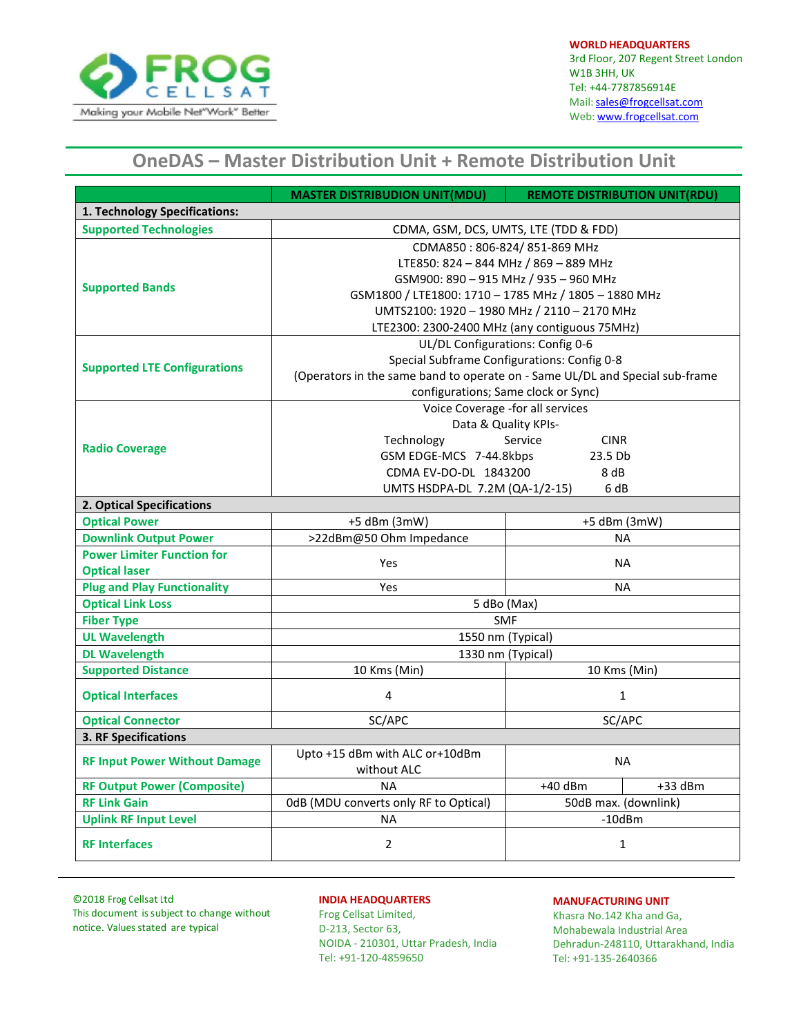

**WORLD HEADQUARTERS** 3rd Floor, 207 Regent Street London W1B 3HH, UK Tel: +44-7787856914E Mail: sales@frogcellsat.com Web: [www.frogcellsat.com](http://www.frogcellsat.com/)

# **OneDAS – Master Distribution Unit + Remote Distribution Unit**

|                                      | <b>MASTER DISTRIBUDION UNIT(MDU)</b>                                         | <b>REMOTE DISTRIBUTION UNIT(RDU)</b> |           |  |  |  |
|--------------------------------------|------------------------------------------------------------------------------|--------------------------------------|-----------|--|--|--|
| 1. Technology Specifications:        |                                                                              |                                      |           |  |  |  |
| <b>Supported Technologies</b>        | CDMA, GSM, DCS, UMTS, LTE (TDD & FDD)                                        |                                      |           |  |  |  |
|                                      | CDMA850: 806-824/851-869 MHz                                                 |                                      |           |  |  |  |
|                                      | LTE850: 824 - 844 MHz / 869 - 889 MHz                                        |                                      |           |  |  |  |
|                                      | GSM900: 890 - 915 MHz / 935 - 960 MHz                                        |                                      |           |  |  |  |
| <b>Supported Bands</b>               | GSM1800 / LTE1800: 1710 - 1785 MHz / 1805 - 1880 MHz                         |                                      |           |  |  |  |
|                                      | UMTS2100: 1920 - 1980 MHz / 2110 - 2170 MHz                                  |                                      |           |  |  |  |
|                                      | LTE2300: 2300-2400 MHz (any contiguous 75MHz)                                |                                      |           |  |  |  |
| <b>Supported LTE Configurations</b>  | UL/DL Configurations: Config 0-6                                             |                                      |           |  |  |  |
|                                      | Special Subframe Configurations: Config 0-8                                  |                                      |           |  |  |  |
|                                      | (Operators in the same band to operate on - Same UL/DL and Special sub-frame |                                      |           |  |  |  |
|                                      | configurations; Same clock or Sync)                                          |                                      |           |  |  |  |
|                                      | Voice Coverage -for all services                                             |                                      |           |  |  |  |
| <b>Radio Coverage</b>                | Data & Quality KPIs-                                                         |                                      |           |  |  |  |
|                                      | Service<br>Technology<br><b>CINR</b>                                         |                                      |           |  |  |  |
|                                      | GSM EDGE-MCS 7-44.8kbps<br>23.5 Db                                           |                                      |           |  |  |  |
|                                      | CDMA EV-DO-DL 1843200                                                        | 8 dB                                 |           |  |  |  |
|                                      | 6 dB<br>UMTS HSDPA-DL 7.2M (QA-1/2-15)                                       |                                      |           |  |  |  |
|                                      | 2. Optical Specifications                                                    |                                      |           |  |  |  |
| <b>Optical Power</b>                 | +5 dBm (3mW)                                                                 | +5 dBm (3mW)                         |           |  |  |  |
| <b>Downlink Output Power</b>         | >22dBm@50 Ohm Impedance                                                      | <b>NA</b>                            |           |  |  |  |
| <b>Power Limiter Function for</b>    | <b>Yes</b>                                                                   | <b>NA</b>                            |           |  |  |  |
| <b>Optical laser</b>                 |                                                                              |                                      |           |  |  |  |
| <b>Plug and Play Functionality</b>   | <b>Yes</b>                                                                   | <b>NA</b>                            |           |  |  |  |
| <b>Optical Link Loss</b>             | 5 dBo (Max)                                                                  |                                      |           |  |  |  |
| <b>Fiber Type</b>                    | <b>SMF</b>                                                                   |                                      |           |  |  |  |
| <b>UL Wavelength</b>                 |                                                                              | 1550 nm (Typical)                    |           |  |  |  |
| <b>DL Wavelength</b>                 |                                                                              | 1330 nm (Typical)                    |           |  |  |  |
| <b>Supported Distance</b>            | 10 Kms (Min)                                                                 | 10 Kms (Min)                         |           |  |  |  |
| <b>Optical Interfaces</b>            | 4                                                                            | $\mathbf{1}$                         |           |  |  |  |
| <b>Optical Connector</b>             | SC/APC                                                                       | SC/APC                               |           |  |  |  |
| 3. RF Specifications                 |                                                                              |                                      |           |  |  |  |
| <b>RF Input Power Without Damage</b> | Upto +15 dBm with ALC or+10dBm                                               |                                      |           |  |  |  |
|                                      | without ALC                                                                  | <b>NA</b>                            |           |  |  |  |
| <b>RF Output Power (Composite)</b>   | <b>NA</b>                                                                    | $+40$ dBm                            | $+33$ dBm |  |  |  |
| <b>RF Link Gain</b>                  | OdB (MDU converts only RF to Optical)                                        | 50dB max. (downlink)                 |           |  |  |  |
| <b>Uplink RF Input Level</b>         | <b>NA</b>                                                                    | $-10$ d $Bm$                         |           |  |  |  |
| <b>RF Interfaces</b>                 | $\overline{2}$                                                               | $\mathbf{1}$                         |           |  |  |  |

©2018 Frog Cellsat Ltd This document issubject to change without notice. Values stated are typical

## **INDIA HEADQUARTERS**

Frog Cellsat Limited, D-213, Sector 63, NOIDA - 210301, Uttar Pradesh, India Tel: +91-120-4859650

#### **MANUFACTURING UNIT**

Khasra No.142 Kha and Ga, Mohabewala Industrial Area Dehradun-248110, Uttarakhand, India Tel: +91-135-2640366